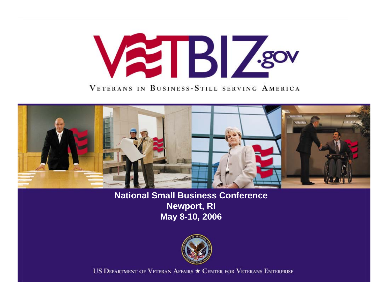# **ATBIZSOV**

VETERANS IN BUSINESS-STILL SERVING AMERICA



**National Small Business Conference Newport, RI May 8-10, 2006**



US DEPARTMENT OF VETERAN AFFAIRS  $\star$  CENTER FOR VETERANS ENTERPRISE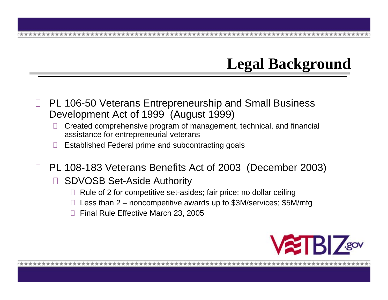# **Legal Background**

- $\Box$  PL 106-50 Veterans Entrepreneurship and Small Business Development Act of 1999 (August 1999)
	- П Created comprehensive program of management, technical, and financial assistance for entrepreneurial veterans
	- П Established Federal prime and subcontracting goals
- PL 108-183 Veterans Benefits Act of 2003 (December 2003)
	- $\Box$  SDVOSB Set-Aside Authority
		- $\Box~$  Rule of 2 for competitive set-asides; fair price; no dollar ceiling
		- Less than 2 noncompetitive awards up to \$3M/services; \$5M/mfg
		- Final Rule Effective March 23, 2005

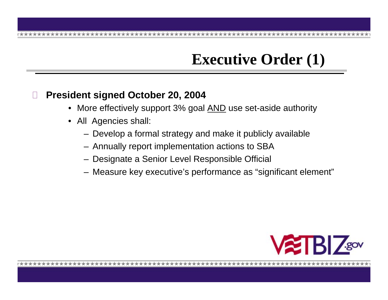# **Executive Order (1)**

#### Н **President signed October 20, 2004**

- More effectively support 3% goal AND use set-aside authority
- All Agencies shall:
	- Develop a formal strategy and make it publicly available
	- Annually report implementation actions to SBA
	- Designate a Senior Level Responsible Official
	- Measure key executive's performance as "significant element"

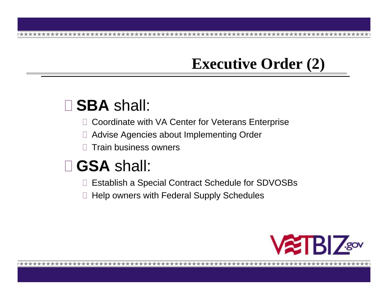#### **Executive Order (2)**

# **SBA** shall:

- $\Box$ Coordinate with VA Center for Veterans Enterprise
- $\Box$ Advise Agencies about Implementing Order
- $\Box$ Train business owners

# **GSA** shall:

- $\Box$ Establish a Special Contract Schedule for SDVOSBs
- $\Box$ Help owners with Federal Supply Schedules

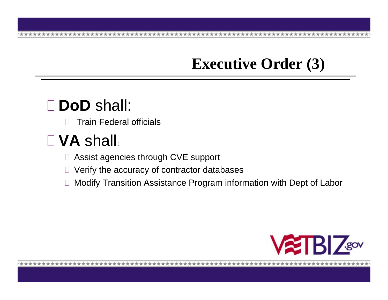#### **Executive Order (3)**

# **DoD** shall:

 $\Box$ Train Federal officials

# **VA** shall:

- Assist agencies through CVE support
- Verify the accuracy of contractor databases
- Modify Transition Assistance Program information with Dept of Labor

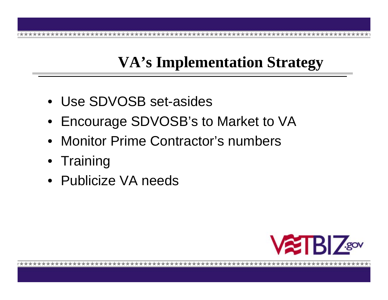# **VA's Implementation Strategy**

- Use SDVOSB set-asides
- Encourage SDVOSB's to Market to VA
- Monitor Prime Contractor's numbers
- Training
- Publicize VA needs

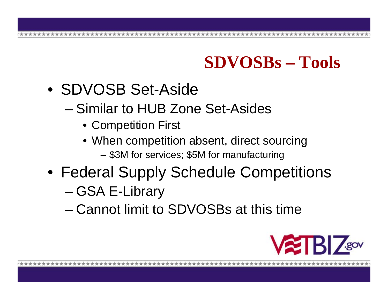# **SDVOSBs – Tools**

- SDVOSB Set-Aside
	- Similar to HUB Zone Set-Asides
		- Competition First
		- When competition absent, direct sourcing \$3M for services; \$5M for manufacturing
- Federal Supply Schedule Competitions
	- –GSA E-Library
	- Cannot limit to SDVOSBs at this time

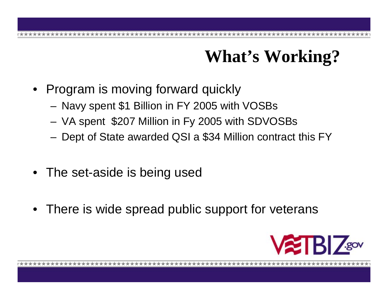# **What's Working?**

- Program is moving forward quickly
	- Navy spent \$1 Billion in FY 2005 with VOSBs
	- VA spent \$207 Million in Fy 2005 with SDVOSBs
	- Dept of State awarded QSI a \$34 Million contract this FY
- The set-aside is being used
- There is wide spread public support for veterans

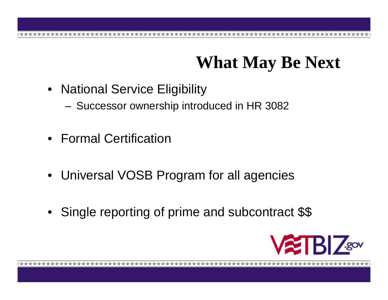# **What May Be Next**

- National Service Eligibility
	- Successor ownership introduced in HR 3082
- Formal Certification
- Universal VOSB Program for all agencies
- Single reporting of prime and subcontract \$\$

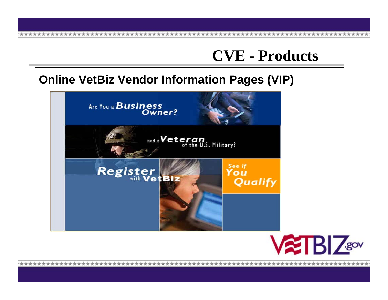### **CVE - Products**

#### **Online VetBiz Vendor Information Pages (VIP)**



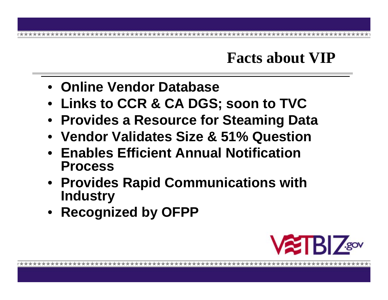### **Facts about VIP**

- **Online Vendor Database**
- **Links to CCR & CA DGS; soon to TVC**
- **Provides a Resource for Steaming Data**
- **Vendor Validates Size & 51% Question**
- **Enables Efficient Annual Notification Process**
- **Provides Rapid Communications with Industry**
- **Recognized by OFPP**

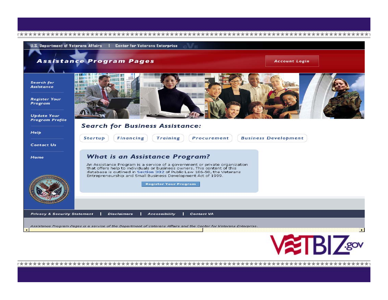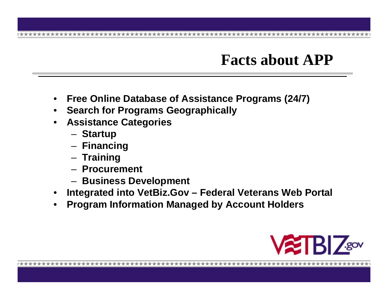## **Facts about APP**

- **Free Online Database of Assistance Programs (24/7)**
- $\bullet$ **Search for Programs Geographically**
- • **Assistance Categories**
	- Startup
	- **Financing**
	- **Training**
	- **Procurement**
	- **Business Development**
- $\bullet$ **Integrated into VetBiz.Gov – Federal Veterans Web Portal**
- •**Program Information Managed by Account Holders**

![](_page_12_Picture_12.jpeg)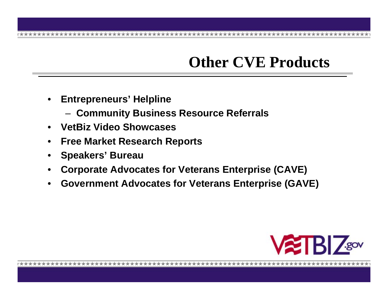## **Other CVE Products**

- $\bullet$  **Entrepreneurs' Helpline** 
	- **Community Business Resource Referrals**
- $\bullet$ **VetBiz Video Showcases**
- •**Free Market Research Reports**
- •**Speakers' Bureau**
- •**Corporate Advocates for Veterans Enterprise (CAVE)**
- •**Government Advocates for Veterans Enterprise (GAVE)**

![](_page_13_Picture_9.jpeg)